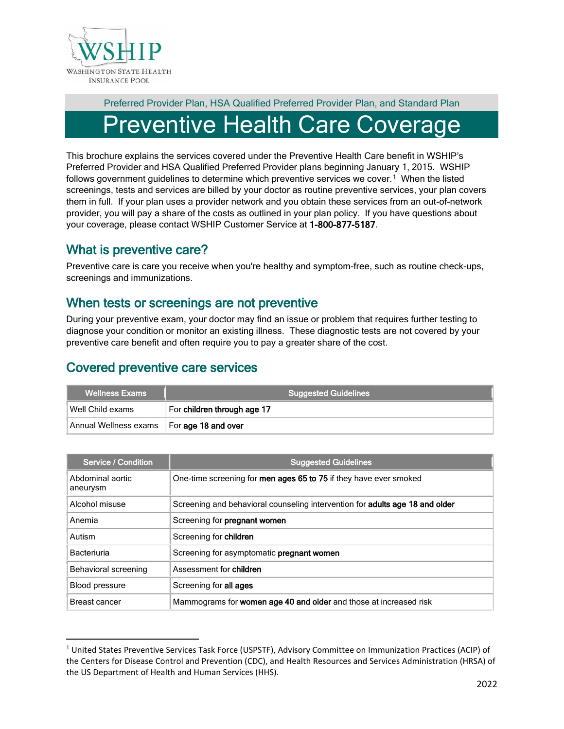

## Preferred Provider Plan, HSA Qualified Preferred Provider Plan, and Standard Plan reventive Health Care Coverage

This brochure explains the services covered under the Preventive Health Care benefit in WSHIP's Preferred Provider and HSA Qualified Preferred Provider plans beginning January 1, 2015. WSHIP follows government guidelines to determine which preventive services we cover.<sup>[1](#page-0-0)</sup> When the listed screenings, tests and services are billed by your doctor as routine preventive services, your plan covers them in full. If your plan uses a provider network and you obtain these services from an out-of-network provider, you will pay a share of the costs as outlined in your plan policy. If you have questions about your coverage, please contact WSHIP Customer Service at 1-800-877-5187.

## What is preventive care?

Preventive care is care you receive when you're healthy and symptom-free, such as routine check-ups, screenings and immunizations.

## When tests or screenings are not preventive

During your preventive exam, your doctor may find an issue or problem that requires further testing to diagnose your condition or monitor an existing illness. These diagnostic tests are not covered by your preventive care benefit and often require you to pay a greater share of the cost.

## Covered preventive care services

| <b>Wellness Exams</b>                       | <b>Suggested Guidelines</b> |  |
|---------------------------------------------|-----------------------------|--|
| Well Child exams                            | For children through age 17 |  |
| Annual Wellness exams   For age 18 and over |                             |  |

| Service / Condition          | <b>Suggested Guidelines</b>                                                         |
|------------------------------|-------------------------------------------------------------------------------------|
| Abdominal aortic<br>aneurysm | One-time screening for men ages 65 to 75 if they have ever smoked                   |
| Alcohol misuse               | Screening and behavioral counseling intervention for <b>adults age 18 and older</b> |
| Anemia                       | Screening for pregnant women                                                        |
| Autism                       | Screening for children                                                              |
| Bacteriuria                  | Screening for asymptomatic pregnant women                                           |
| Behavioral screening         | Assessment for children                                                             |
| Blood pressure               | Screening for all ages                                                              |
| Breast cancer                | Mammograms for <b>women age 40 and older</b> and those at increased risk            |

<span id="page-0-0"></span><sup>1</sup> United States Preventive Services Task Force (USPSTF), Advisory Committee on Immunization Practices (ACIP) of the Centers for Disease Control and Prevention (CDC), and Health Resources and Services Administration (HRSA) of the US Department of Health and Human Services (HHS).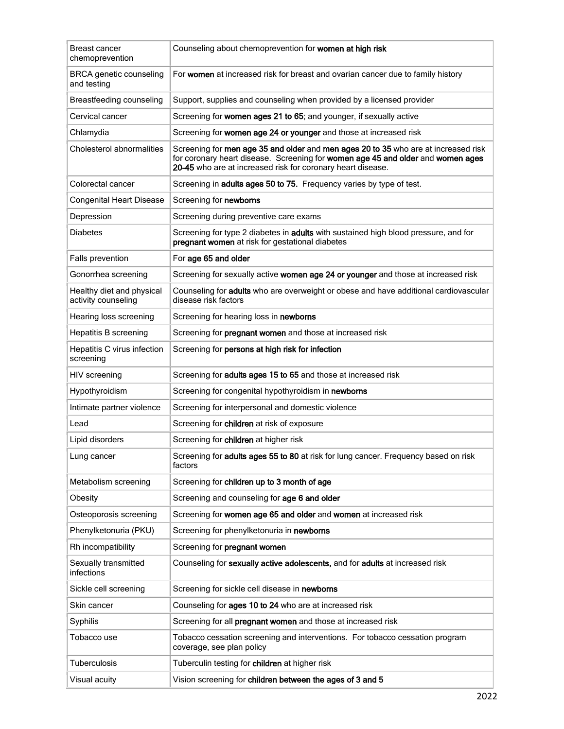| Breast cancer<br>chemoprevention                 | Counseling about chemoprevention for women at high risk                                                                                                                                                                              |
|--------------------------------------------------|--------------------------------------------------------------------------------------------------------------------------------------------------------------------------------------------------------------------------------------|
| <b>BRCA</b> genetic counseling<br>and testing    | For women at increased risk for breast and ovarian cancer due to family history                                                                                                                                                      |
| Breastfeeding counseling                         | Support, supplies and counseling when provided by a licensed provider                                                                                                                                                                |
| Cervical cancer                                  | Screening for women ages 21 to 65; and younger, if sexually active                                                                                                                                                                   |
| Chlamydia                                        | Screening for women age 24 or younger and those at increased risk                                                                                                                                                                    |
| Cholesterol abnormalities                        | Screening for men age 35 and older and men ages 20 to 35 who are at increased risk<br>for coronary heart disease. Screening for women age 45 and older and women ages<br>20-45 who are at increased risk for coronary heart disease. |
| Colorectal cancer                                | Screening in adults ages 50 to 75. Frequency varies by type of test.                                                                                                                                                                 |
| <b>Congenital Heart Disease</b>                  | Screening for newborns                                                                                                                                                                                                               |
| Depression                                       | Screening during preventive care exams                                                                                                                                                                                               |
| <b>Diabetes</b>                                  | Screening for type 2 diabetes in adults with sustained high blood pressure, and for<br>pregnant women at risk for gestational diabetes                                                                                               |
| Falls prevention                                 | For age 65 and older                                                                                                                                                                                                                 |
| Gonorrhea screening                              | Screening for sexually active women age 24 or younger and those at increased risk                                                                                                                                                    |
| Healthy diet and physical<br>activity counseling | Counseling for adults who are overweight or obese and have additional cardiovascular<br>disease risk factors                                                                                                                         |
| Hearing loss screening                           | Screening for hearing loss in newborns                                                                                                                                                                                               |
| Hepatitis B screening                            | Screening for pregnant women and those at increased risk                                                                                                                                                                             |
| Hepatitis C virus infection<br>screening         | Screening for persons at high risk for infection                                                                                                                                                                                     |
| HIV screening                                    | Screening for adults ages 15 to 65 and those at increased risk                                                                                                                                                                       |
| Hypothyroidism                                   | Screening for congenital hypothyroidism in newborns                                                                                                                                                                                  |
| Intimate partner violence                        | Screening for interpersonal and domestic violence                                                                                                                                                                                    |
| Lead                                             | Screening for children at risk of exposure                                                                                                                                                                                           |
| Lipid disorders                                  | Screening for children at higher risk                                                                                                                                                                                                |
| Lung cancer                                      | Screening for <b>adults ages 55 to 80</b> at risk for lung cancer. Frequency based on risk<br>factors                                                                                                                                |
| Metabolism screening                             | Screening for children up to 3 month of age                                                                                                                                                                                          |
| Obesity                                          | Screening and counseling for age 6 and older                                                                                                                                                                                         |
| Osteoporosis screening                           | Screening for women age 65 and older and women at increased risk                                                                                                                                                                     |
| Phenylketonuria (PKU)                            | Screening for phenylketonuria in newborns                                                                                                                                                                                            |
| Rh incompatibility                               | Screening for pregnant women                                                                                                                                                                                                         |
| Sexually transmitted<br>infections               | Counseling for sexually active adolescents, and for adults at increased risk                                                                                                                                                         |
| Sickle cell screening                            | Screening for sickle cell disease in newborns                                                                                                                                                                                        |
| Skin cancer                                      | Counseling for ages 10 to 24 who are at increased risk                                                                                                                                                                               |
| Syphilis                                         | Screening for all pregnant women and those at increased risk                                                                                                                                                                         |
| Tobacco use                                      | Tobacco cessation screening and interventions. For tobacco cessation program<br>coverage, see plan policy                                                                                                                            |
| <b>Tuberculosis</b>                              | Tuberculin testing for children at higher risk                                                                                                                                                                                       |
| Visual acuity                                    | Vision screening for children between the ages of 3 and 5                                                                                                                                                                            |